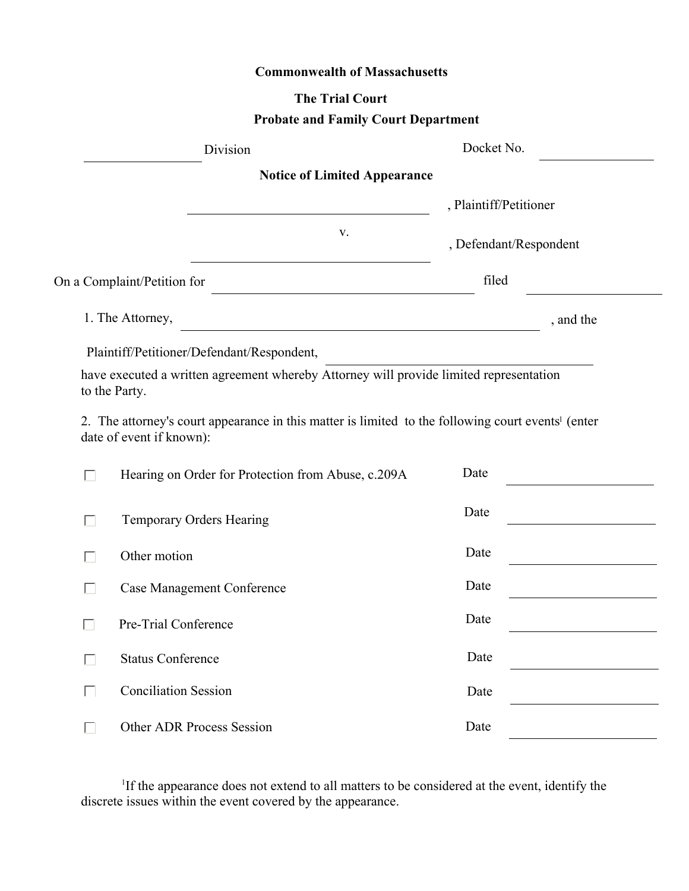## **Commonwealth of Massachusetts**

## **The Trial Court**

## **Probate and Family Court Department**

| Division                                                |                                                                                                                | Docket No.             |                        |
|---------------------------------------------------------|----------------------------------------------------------------------------------------------------------------|------------------------|------------------------|
|                                                         | <b>Notice of Limited Appearance</b>                                                                            |                        |                        |
|                                                         |                                                                                                                |                        | , Plaintiff/Petitioner |
|                                                         | V.                                                                                                             | , Defendant/Respondent |                        |
| On a Complaint/Petition for                             |                                                                                                                | filed                  |                        |
| 1. The Attorney,                                        | <u> 1989 - Johann Barbara, martxa alemaniar a</u>                                                              |                        | , and the              |
| Plaintiff/Petitioner/Defendant/Respondent,              |                                                                                                                |                        |                        |
| to the Party.                                           | have executed a written agreement whereby Attorney will provide limited representation                         |                        |                        |
| date of event if known):                                | 2. The attorney's court appearance in this matter is limited to the following court events <sup>1</sup> (enter |                        |                        |
| Hearing on Order for Protection from Abuse, c.209A<br>П |                                                                                                                | Date                   |                        |
| П                                                       | Temporary Orders Hearing                                                                                       |                        |                        |
| Other motion                                            |                                                                                                                |                        |                        |
|                                                         | <b>Case Management Conference</b>                                                                              |                        |                        |
|                                                         | Pre-Trial Conference                                                                                           |                        |                        |
| <b>Status Conference</b><br>П                           |                                                                                                                |                        |                        |
| П                                                       | <b>Conciliation Session</b>                                                                                    |                        |                        |
| J.                                                      | <b>Other ADR Process Session</b>                                                                               |                        |                        |

<sup>1</sup>If the appearance does not extend to all matters to be considered at the event, identify the discrete issues within the event covered by the appearance.